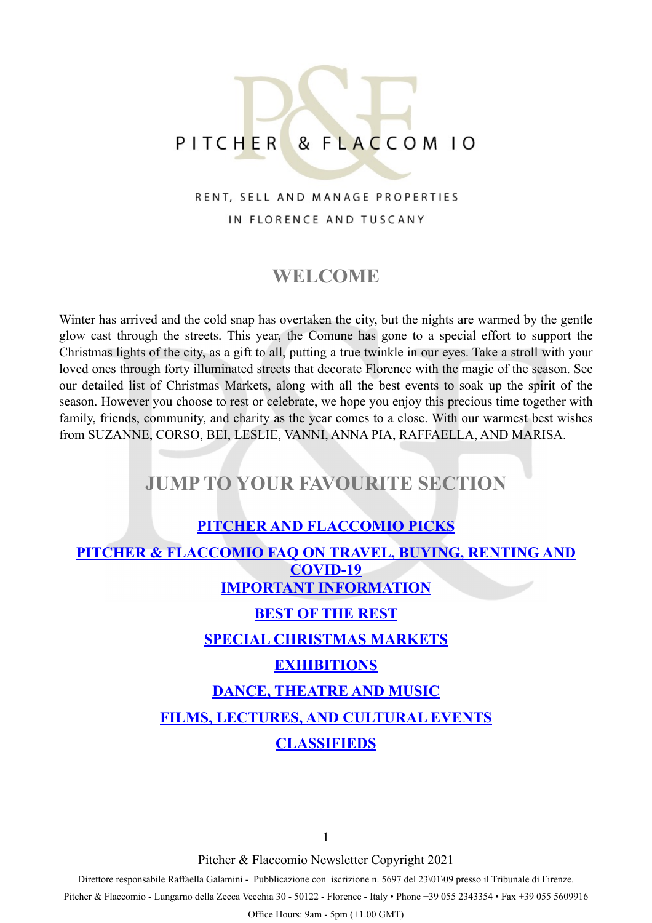# PITCHER & FLACCOM 10

#### RENT, SELL AND MANAGE PROPERTIES IN FLORENCE AND TUSCANY

### **WELCOME**

Winter has arrived and the cold snap has overtaken the city, but the nights are warmed by the gentle glow cast through the streets. This year, the Comune has gone to a special effort to support the Christmas lights of the city, as a gift to all, putting a true twinkle in our eyes. Take a stroll with your loved ones through forty illuminated streets that decorate Florence with the magic of the season. See our detailed list of Christmas Markets, along with all the best events to soak up the spirit of the season. However you choose to rest or celebrate, we hope you enjoy this precious time together with family, friends, community, and charity as the year comes to a close. With our warmest best wishes from SUZANNE, CORSO, BEI, LESLIE, VANNI, ANNA PIA, RAFFAELLA, AND MARISA.

### **JUMP TO YOUR FAVOURITE SECTION**

#### **[PITCHER AND FLACCOMIO PICKS](#page-1-0)**

<span id="page-0-0"></span>**[PITCHER & FLACCOMIO FAQ ON TRAVEL, BUYING, RENTING AND](#page-0-0)  [COVID-19](#page-0-0) [IMPORTANT INFORMATION](#page-3-0)**

#### **[BEST OF THE REST](#page-4-0)**

#### **[SPECIAL CHRISTMAS MARKETS](#page-5-0)**

#### **[EXHIBITIONS](#page-8-0)**

#### **[DANCE, THEATRE AND MUSIC](#page-9-0)**

**[FILMS, LECTURES, AND CULTURAL EVENTS](#page-10-0)**

#### **[CLASSIFIEDS](#page-12-0)**

1

Pitcher & Flaccomio Newsletter Copyright 2021

Direttore responsabile Raffaella Galamini - Pubblicazione con iscrizione n. 5697 del 23\01\09 presso il Tribunale di Firenze.

Pitcher & Flaccomio - Lungarno della Zecca Vecchia 30 - 50122 - Florence - Italy • Phone +39 055 2343354 • Fax +39 055 5609916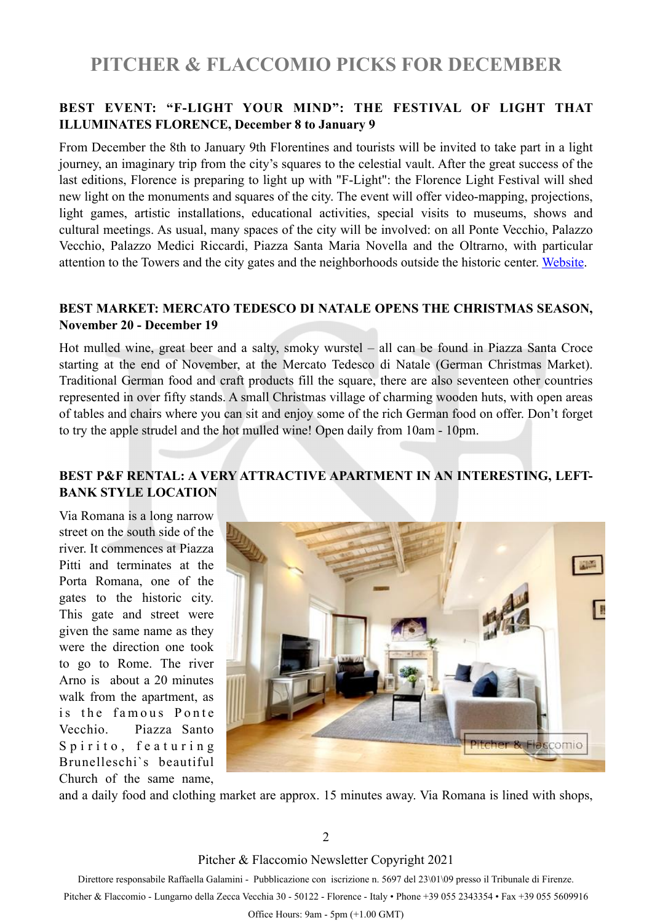## <span id="page-1-0"></span>**PITCHER & FLACCOMIO PICKS FOR DECEMBER**

#### **BEST EVENT: "F-LIGHT YOUR MIND": THE FESTIVAL OF LIGHT THAT ILLUMINATES FLORENCE, December 8 to January 9**

From December the 8th to January 9th Florentines and tourists will be invited to take part in a light journey, an imaginary trip from the city's squares to the celestial vault. After the great success of the last editions, Florence is preparing to light up with "F-Light": the Florence Light Festival will shed new light on the monuments and squares of the city. The event will offer video-mapping, projections, light games, artistic installations, educational activities, special visits to museums, shows and cultural meetings. As usual, many spaces of the city will be involved: on all Ponte Vecchio, Palazzo Vecchio, Palazzo Medici Riccardi, Piazza Santa Maria Novella and the Oltrarno, with particular attention to the Towers and the city gates and the neighborhoods outside the historic center. [Website.](https://www.flightfirenze.it)

#### **BEST MARKET: MERCATO TEDESCO DI NATALE OPENS THE CHRISTMAS SEASON, November 20 - December 19**

Hot mulled wine, great beer and a salty, smoky wurstel – all can be found in Piazza Santa Croce starting at the end of November, at the Mercato Tedesco di Natale (German Christmas Market). Traditional German food and craft products fill the square, there are also seventeen other countries represented in over fifty stands. A small Christmas village of charming wooden huts, with open areas of tables and chairs where you can sit and enjoy some of the rich German food on offer. Don't forget to try the apple strudel and the hot mulled wine! Open daily from 10am - 10pm.

#### **BEST P&F RENTAL: A VERY ATTRACTIVE APARTMENT IN AN INTERESTING, LEFT-BANK STYLE LOCATION**

Via Romana is a long narrow street on the south side of the river. It commences at Piazza Pitti and terminates at the Porta Romana, one of the gates to the historic city. This gate and street were given the same name as they were the direction one took to go to Rome. The river Arno is about a 20 minutes walk from the apartment, as is the famous Ponte Vecchio. Piazza Santo Spirito, featuring Brunelleschi`s beautiful Church of the same name,



and a daily food and clothing market are approx. 15 minutes away. Via Romana is lined with shops,

2

Pitcher & Flaccomio Newsletter Copyright 2021

Direttore responsabile Raffaella Galamini - Pubblicazione con iscrizione n. 5697 del 23\01\09 presso il Tribunale di Firenze.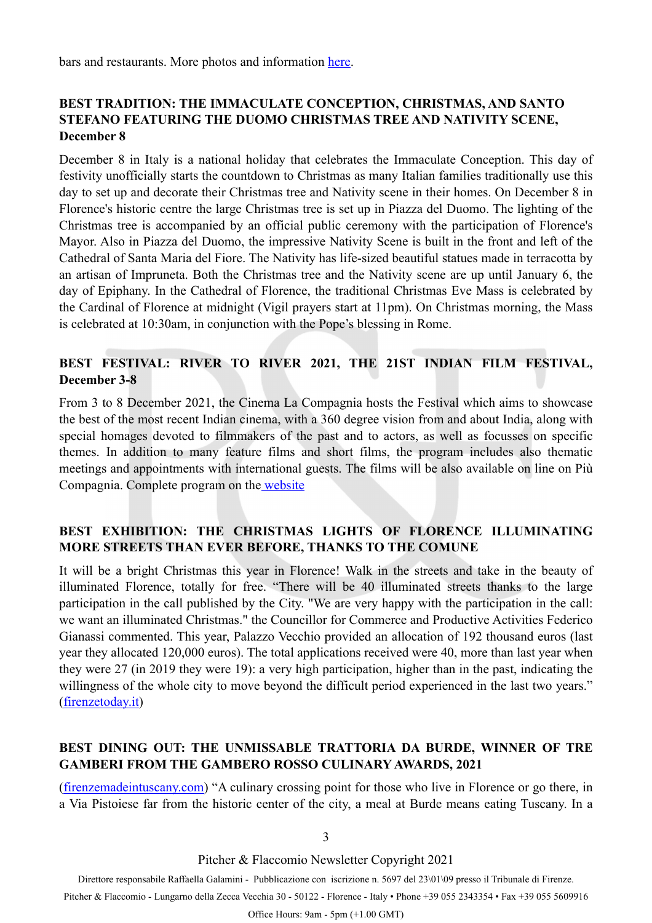bars and restaurants. More photos and information [here.](https://pitcherflaccomio.com/property/1582/)

#### **BEST TRADITION: THE IMMACULATE CONCEPTION, CHRISTMAS, AND SANTO STEFANO FEATURING THE DUOMO CHRISTMAS TREE AND NATIVITY SCENE, December 8**

December 8 in Italy is a national holiday that celebrates the Immaculate Conception. This day of festivity unofficially starts the countdown to Christmas as many Italian families traditionally use this day to set up and decorate their Christmas tree and Nativity scene in their homes. On December 8 in Florence's historic centre the large Christmas tree is set up in Piazza del Duomo. The lighting of the Christmas tree is accompanied by an official public ceremony with the participation of Florence's Mayor. Also in Piazza del Duomo, the impressive Nativity Scene is built in the front and left of the Cathedral of Santa Maria del Fiore. The Nativity has life-sized beautiful statues made in terracotta by an artisan of Impruneta. Both the Christmas tree and the Nativity scene are up until January 6, the day of Epiphany. In the Cathedral of Florence, the traditional Christmas Eve Mass is celebrated by the Cardinal of Florence at midnight (Vigil prayers start at 11pm). On Christmas morning, the Mass is celebrated at 10:30am, in conjunction with the Pope's blessing in Rome.

#### **BEST FESTIVAL: RIVER TO RIVER 2021, THE 21ST INDIAN FILM FESTIVAL, December 3-8**

From 3 to 8 December 2021, the Cinema La Compagnia hosts the Festival which aims to showcase the best of the most recent Indian cinema, with a 360 degree vision from and about India, along with special homages devoted to filmmakers of the past and to actors, as well as focusses on specific themes. In addition to many feature films and short films, the program includes also thematic meetings and appointments with international guests. The films will be also available on line on Più Compagnia. Complete program on th[e website](https://www.rivertoriver.it/edizione-festival-2021/?lang=en)

#### **BEST EXHIBITION: THE CHRISTMAS LIGHTS OF FLORENCE ILLUMINATING MORE STREETS THAN EVER BEFORE, THANKS TO THE COMUNE**

It will be a bright Christmas this year in Florence! Walk in the streets and take in the beauty of illuminated Florence, totally for free. "There will be 40 illuminated streets thanks to the large participation in the call published by the City. "We are very happy with the participation in the call: we want an illuminated Christmas." the Councillor for Commerce and Productive Activities Federico Gianassi commented. This year, Palazzo Vecchio provided an allocation of 192 thousand euros (last year they allocated 120,000 euros). The total applications received were 40, more than last year when they were 27 (in 2019 they were 19): a very high participation, higher than in the past, indicating the willingness of the whole city to move beyond the difficult period experienced in the last two years." ([firenzetoday.it\)](http://firenzetoday.it)

#### **BEST DINING OUT: THE UNMISSABLE TRATTORIA DA BURDE, WINNER OF TRE GAMBERI FROM THE GAMBERO ROSSO CULINARY AWARDS, 2021**

([firenzemadeintuscany.com](http://firenzemadeintuscany.com)) "A culinary crossing point for those who live in Florence or go there, in a Via Pistoiese far from the historic center of the city, a meal at Burde means eating Tuscany. In a

3

Pitcher & Flaccomio Newsletter Copyright 2021

Direttore responsabile Raffaella Galamini - Pubblicazione con iscrizione n. 5697 del 23\01\09 presso il Tribunale di Firenze.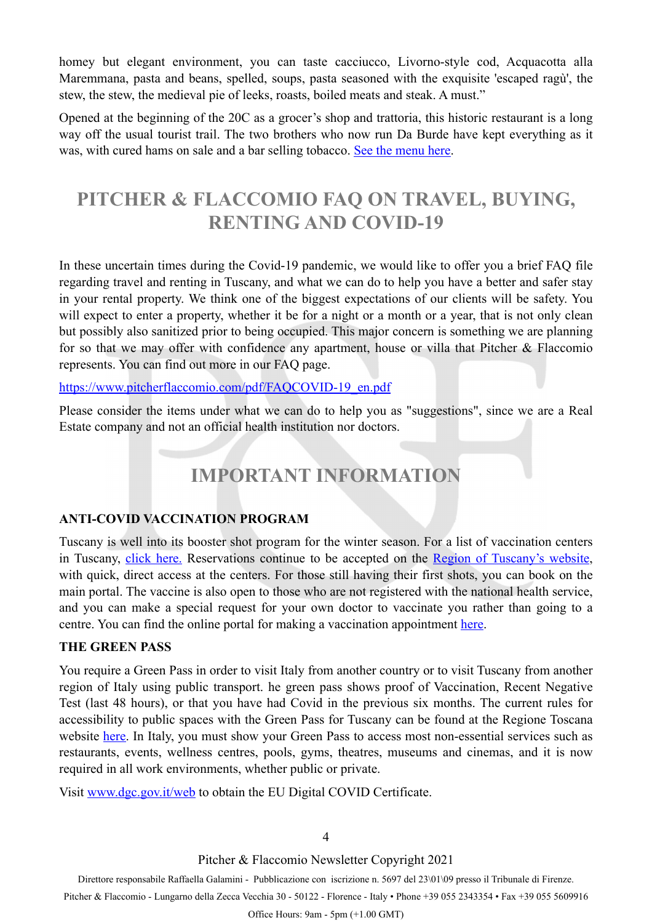homey but elegant environment, you can taste cacciucco, Livorno-style cod, Acquacotta alla Maremmana, pasta and beans, spelled, soups, pasta seasoned with the exquisite 'escaped ragù', the stew, the stew, the medieval pie of leeks, roasts, boiled meats and steak. A must."

Opened at the beginning of the 20C as a grocer's shop and trattoria, this historic restaurant is a long way off the usual tourist trail. The two brothers who now run Da Burde have kept everything as it was, with cured hams on sale and a bar selling tobacco. [See the menu here](http://www.vinodaburde.com/il-nostro-menu/).

## **PITCHER & FLACCOMIO FAQ ON TRAVEL, BUYING, RENTING AND COVID-19**

In these uncertain times during the Covid-19 pandemic, we would like to offer you a brief FAQ file regarding travel and renting in Tuscany, and what we can do to help you have a better and safer stay in your rental property. We think one of the biggest expectations of our clients will be safety. You will expect to enter a property, whether it be for a night or a month or a year, that is not only clean but possibly also sanitized prior to being occupied. This major concern is something we are planning for so that we may offer with confidence any apartment, house or villa that Pitcher & Flaccomio represents. You can find out more in our FAQ page.

#### [https://www.pitcherflaccomio.com/pdf/FAQCOVID-19\\_en.pdf](https://www.pitcherflaccomio.com/pdf/FAQCOVID-19_en.pdf)

Please consider the items under what we can do to help you as "suggestions", since we are a Real Estate company and not an official health institution nor doctors.

## <span id="page-3-0"></span>**IMPORTANT INFORMATION**

#### **ANTI-COVID VACCINATION PROGRAM**

Tuscany is well into its booster shot program for the winter season. For a list of vaccination centers in Tuscany, [click here.](https://www.regione.toscana.it/-/dove-vaccinarsi) Reservations continue to be accepted on the [Region of Tuscany's website](https://prenotavaccino.sanita.toscana.it/%23/home), with quick, direct access at the centers. For those still having their first shots, you can book on the main portal. The vaccine is also open to those who are not registered with the national health service, and you can make a special request for your own doctor to vaccinate you rather than going to a centre. You can find the online portal for making a vaccination appointment [here](https://prenotavaccino.sanita.toscana.it/%23/home).

#### **THE GREEN PASS**

You require a Green Pass in order to visit Italy from another country or to visit Tuscany from another region of Italy using public transport. he green pass shows proof of Vaccination, Recent Negative Test (last 48 hours), or that you have had Covid in the previous six months. The current rules for accessibility to public spaces with the Green Pass for Tuscany can be found at the Regione Toscana website [here.](https://www.regione.toscana.it/-/certificato-verde-covid-19) In Italy, you must show your Green Pass to access most non-essential services such as restaurants, events, wellness centres, pools, gyms, theatres, museums and cinemas, and it is now required in all work environments, whether public or private.

Visit [www.dgc.gov.it/web](http://www.dgc.gov.it/web/) to obtain the EU Digital COVID Certificate.

#### 4

Pitcher & Flaccomio Newsletter Copyright 2021

Direttore responsabile Raffaella Galamini - Pubblicazione con iscrizione n. 5697 del 23\01\09 presso il Tribunale di Firenze.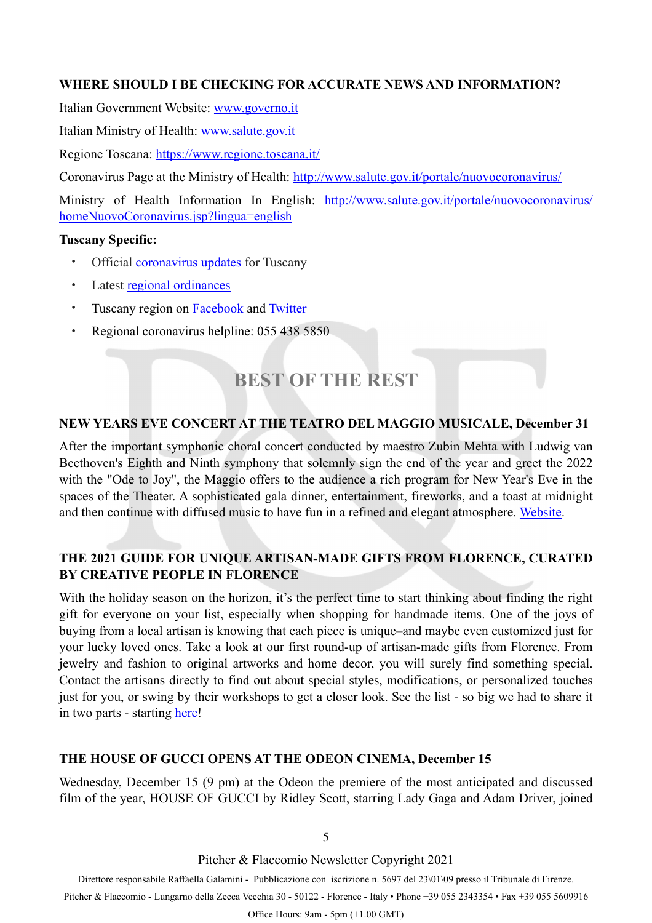#### **WHERE SHOULD I BE CHECKING FOR ACCURATE NEWS AND INFORMATION?**

Italian Government Website: [www.governo.it](http://www.governo.it)

Italian Ministry of Health: [www.salute.gov.it](http://www.salute.gov.it/?fbclid=IwAR37pZhesC9o9nGmkzkeY2CGYt-hSECzU72KRLH8WRUgJwTd85mD2KS_mvg)

Regione Toscana:<https://www.regione.toscana.it/>

Coronavirus Page at the Ministry of Health: [http://www.salute.gov.it/portale/nuovocoronavirus/](http://www.salute.gov.it/portale/nuovocoronavirus/dettaglioContenutiNuovoCoronavirus.jsp?lingua=italiano&id=5351&area=nuovoCoronavirus&menu=vuoto)

Ministry of Health Information In English: [http://www.salute.gov.it/portale/nuovocoronavirus/](http://www.salute.gov.it/portale/nuovocoronavirus/homeNuovoCoronavirus.jsp?lingua=english) [homeNuovoCoronavirus.jsp?lingua=english](http://www.salute.gov.it/portale/nuovocoronavirus/homeNuovoCoronavirus.jsp?lingua=english)

#### **Tuscany Specific:**

- Official **[coronavirus updates](https://www.regione.toscana.it/-/coronavirus)** for Tuscany
- Latest [regional ordinances](https://www.regione.toscana.it/-/ordinanze-della-regione-toscana)
- Tuscany region on **[Facebook](https://www.facebook.com/regionetoscana.paginaufficiale/)** and **[Twitter](https://twitter.com/regionetoscana)**
- Regional coronavirus helpline: 055 438 5850

## <span id="page-4-0"></span>**BEST OF THE REST**

#### **NEW YEARS EVE CONCERT AT THE TEATRO DEL MAGGIO MUSICALE, December 31**

After the important symphonic choral concert conducted by maestro Zubin Mehta with Ludwig van Beethoven's Eighth and Ninth symphony that solemnly sign the end of the year and greet the 2022 with the "Ode to Joy", the Maggio offers to the audience a rich program for New Year's Eve in the spaces of the Theater. A sophisticated gala dinner, entertainment, fireworks, and a toast at midnight and then continue with diffused music to have fun in a refined and elegant atmosphere. [Website](https://www.maggiofiorentino.com/en/events/concerto-di-fine-anno-3).

#### **THE 2021 GUIDE FOR UNIQUE ARTISAN-MADE GIFTS FROM FLORENCE, CURATED BY CREATIVE PEOPLE IN FLORENCE**

With the holiday season on the horizon, it's the perfect time to start thinking about finding the right gift for everyone on your list, especially when shopping for handmade items. One of the joys of buying from a local artisan is knowing that each piece is unique–and maybe even customized just for your lucky loved ones. Take a look at our first round-up of artisan-made gifts from Florence. From jewelry and fashion to original artworks and home decor, you will surely find something special. Contact the artisans directly to find out about special styles, modifications, or personalized touches just for you, or swing by their workshops to get a closer look. See the list - so big we had to share it in two parts - starting [here](https://creativepeopleinflorence.com/2021/11/15/handmade-holiday-gifts-from-florence/)!

#### **THE HOUSE OF GUCCI OPENS AT THE ODEON CINEMA, December 15**

Wednesday, December 15 (9 pm) at the Odeon the premiere of the most anticipated and discussed film of the year, HOUSE OF GUCCI by Ridley Scott, starring Lady Gaga and Adam Driver, joined

5

Pitcher & Flaccomio Newsletter Copyright 2021

Direttore responsabile Raffaella Galamini - Pubblicazione con iscrizione n. 5697 del 23\01\09 presso il Tribunale di Firenze.

Pitcher & Flaccomio - Lungarno della Zecca Vecchia 30 - 50122 - Florence - Italy • Phone +39 055 2343354 • Fax +39 055 5609916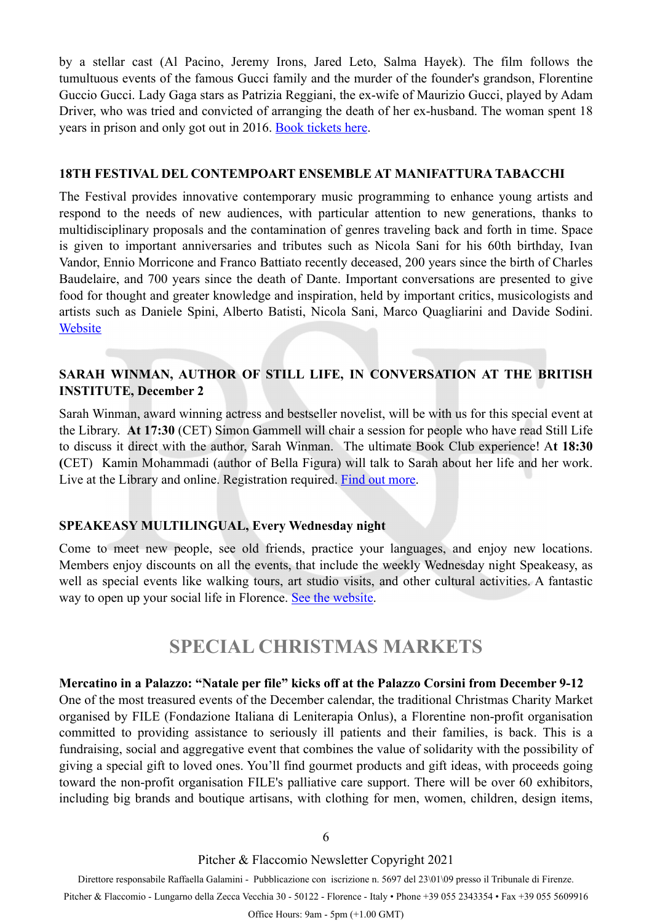by a stellar cast (Al Pacino, Jeremy Irons, Jared Leto, Salma Hayek). The film follows the tumultuous events of the famous Gucci family and the murder of the founder's grandson, Florentine Guccio Gucci. Lady Gaga stars as Patrizia Reggiani, the ex-wife of Maurizio Gucci, played by Adam Driver, who was tried and convicted of arranging the death of her ex-husband. The woman spent 18 years in prison and only got out in 2016. [Book tickets here](http://www.odeonfirenze.com/15-dicembre-anteprima-house-of-gucci/).

#### **18TH FESTIVAL DEL CONTEMPOART ENSEMBLE AT MANIFATTURA TABACCHI**

The Festival provides innovative contemporary music programming to enhance young artists and respond to the needs of new audiences, with particular attention to new generations, thanks to multidisciplinary proposals and the contamination of genres traveling back and forth in time. Space is given to important anniversaries and tributes such as Nicola Sani for his 60th birthday, Ivan Vandor, Ennio Morricone and Franco Battiato recently deceased, 200 years since the birth of Charles Baudelaire, and 700 years since the death of Dante. Important conversations are presented to give food for thought and greater knowledge and inspiration, held by important critics, musicologists and artists such as Daniele Spini, Alberto Batisti, Nicola Sani, Marco Quagliarini and Davide Sodini. **[Website](https://contempoartensemble.com/eventi/festival/playout-2021/)** 

#### **SARAH WINMAN, AUTHOR OF STILL LIFE, IN CONVERSATION AT THE BRITISH INSTITUTE, December 2**

Sarah Winman, award winning actress and bestseller novelist, will be with us for this special event at the Library. **At 17:30** (CET) Simon Gammell will chair a session for people who have read Still Life to discuss it direct with the author, Sarah Winman. The ultimate Book Club experience! A**t 18:30 (**CET) Kamin Mohammadi (author of Bella Figura) will talk to Sarah about her life and her work. Live at the Library and online. Registration required. [Find out more](https://www.britishinstitute.it/en/news-events/events/other-events-at-the-british-institute-of-florence/544/meet-the-author-sarah-winman?https://www.britishinstitute.it/en/?utm_source=newsletter).

#### **SPEAKEASY MULTILINGUAL, Every Wednesday night**

Come to meet new people, see old friends, practice your languages, and enjoy new locations. Members enjoy discounts on all the events, that include the weekly Wednesday night Speakeasy, as well as special events like walking tours, art studio visits, and other cultural activities. A fantastic way to open up your social life in Florence. [See the website.](https://www.meetup.com/Speakeasy-English-Firenze/)

### <span id="page-5-0"></span>**SPECIAL CHRISTMAS MARKETS**

#### **Mercatino in a Palazzo: "Natale per file" kicks off at the Palazzo Corsini from December 9-12**

One of the most treasured events of the December calendar, the traditional Christmas Charity Market organised by FILE (Fondazione Italiana di Leniterapia Onlus), a Florentine non-profit organisation committed to providing assistance to seriously ill patients and their families, is back. This is a fundraising, social and aggregative event that combines the value of solidarity with the possibility of giving a special gift to loved ones. You'll find gourmet products and gift ideas, with proceeds going toward the non-profit organisation FILE's palliative care support. There will be over 60 exhibitors, including big brands and boutique artisans, with clothing for men, women, children, design items,

Pitcher & Flaccomio Newsletter Copyright 2021

Direttore responsabile Raffaella Galamini - Pubblicazione con iscrizione n. 5697 del 23\01\09 presso il Tribunale di Firenze.

Pitcher & Flaccomio - Lungarno della Zecca Vecchia 30 - 50122 - Florence - Italy • Phone +39 055 2343354 • Fax +39 055 5609916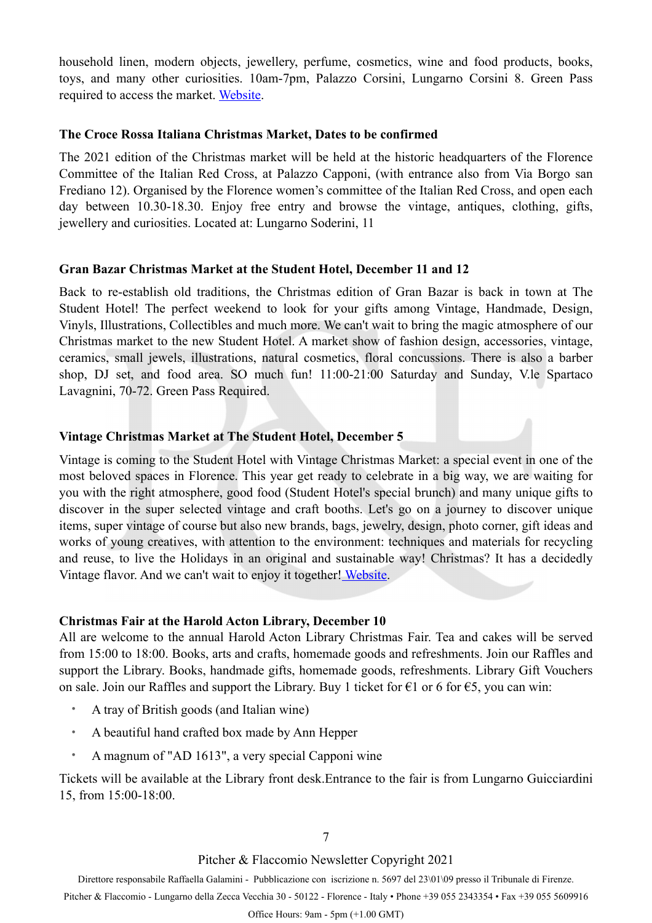household linen, modern objects, jewellery, perfume, cosmetics, wine and food products, books, toys, and many other curiosities. 10am-7pm, Palazzo Corsini, Lungarno Corsini 8. Green Pass required to access the market. [Website](https://www.leniterapia.it/eventi/nataleperfile/).

#### **The Croce Rossa Italiana Christmas Market, Dates to be confirmed**

The 2021 edition of the Christmas market will be held at the historic headquarters of the Florence Committee of the Italian Red Cross, at Palazzo Capponi, (with entrance also from Via Borgo san Frediano 12). Organised by the Florence women's committee of the Italian Red Cross, and open each day between 10.30-18.30. Enjoy free entry and browse the vintage, antiques, clothing, gifts, jewellery and curiosities. Located at: Lungarno Soderini, 11

#### **Gran Bazar Christmas Market at the Student Hotel, December 11 and 12**

Back to re-establish old traditions, the Christmas edition of Gran Bazar is back in town at The Student Hotel! The perfect weekend to look for your gifts among Vintage, Handmade, Design, Vinyls, Illustrations, Collectibles and much more. We can't wait to bring the magic atmosphere of our Christmas market to the new Student Hotel. A market show of fashion design, accessories, vintage, ceramics, small jewels, illustrations, natural cosmetics, floral concussions. There is also a barber shop, DJ set, and food area. SO much fun! 11:00-21:00 Saturday and Sunday, V.le Spartaco Lavagnini, 70-72. Green Pass Required.

#### **Vintage Christmas Market at The Student Hotel, December 5**

Vintage is coming to the Student Hotel with Vintage Christmas Market: a special event in one of the most beloved spaces in Florence. This year get ready to celebrate in a big way, we are waiting for you with the right atmosphere, good food (Student Hotel's special brunch) and many unique gifts to discover in the super selected vintage and craft booths. Let's go on a journey to discover unique items, super vintage of course but also new brands, bags, jewelry, design, photo corner, gift ideas and works of young creatives, with attention to the environment: techniques and materials for recycling and reuse, to live the Holidays in an original and sustainable way! Christmas? It has a decidedly Vintage flavor. And we can't wait to enjoy it together[! Website](https://www.facebook.com/events/407436541096240).

#### **Christmas Fair at the Harold Acton Library, December 10**

All are welcome to the annual Harold Acton Library Christmas Fair. Tea and cakes will be served from 15:00 to 18:00. Books, arts and crafts, homemade goods and refreshments. Join our Raffles and support the Library. Books, handmade gifts, homemade goods, refreshments. Library Gift Vouchers on sale. Join our Raffles and support the Library. Buy 1 ticket for  $\epsilon$ 1 or 6 for  $\epsilon$ 5, you can win:

- A tray of British goods (and Italian wine)
- A beautiful hand crafted box made by Ann Hepper
- A magnum of "AD 1613", a very special Capponi wine

Tickets will be available at the Library front desk.Entrance to the fair is from Lungarno Guicciardini 15, from 15:00-18:00.

7

#### Pitcher & Flaccomio Newsletter Copyright 2021

Direttore responsabile Raffaella Galamini - Pubblicazione con iscrizione n. 5697 del 23\01\09 presso il Tribunale di Firenze.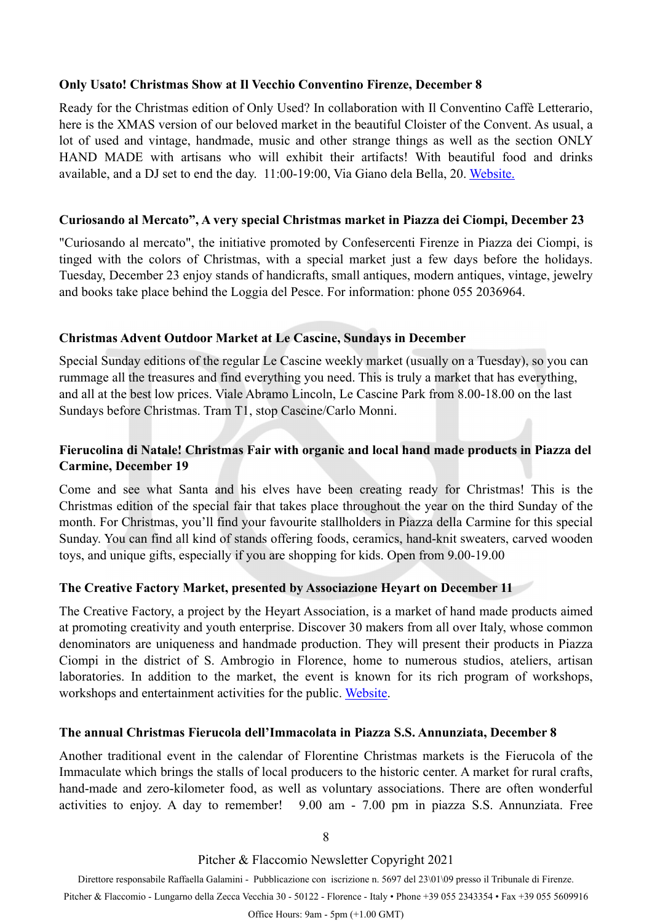#### **Only Usato! Christmas Show at Il Vecchio Conventino Firenze, December 8**

Ready for the Christmas edition of Only Used? In collaboration with Il Conventino Caffè Letterario, here is the XMAS version of our beloved market in the beautiful Cloister of the Convent. As usual, a lot of used and vintage, handmade, music and other strange things as well as the section ONLY HAND MADE with artisans who will exhibit their artifacts! With beautiful food and drinks available, and a DJ set to end the day. 11:00-19:00, Via Giano dela Bella, 20. [Website.](https://www.facebook.com/events/293753535736399)

#### **Curiosando al Mercato", A very special Christmas market in Piazza dei Ciompi, December 23**

"Curiosando al mercato", the initiative promoted by Confesercenti Firenze in Piazza dei Ciompi, is tinged with the colors of Christmas, with a special market just a few days before the holidays. Tuesday, December 23 enjoy stands of handicrafts, small antiques, modern antiques, vintage, jewelry and books take place behind the Loggia del Pesce. For information: phone 055 2036964.

#### **Christmas Advent Outdoor Market at Le Cascine, Sundays in December**

Special Sunday editions of the regular Le Cascine weekly market (usually on a Tuesday), so you can rummage all the treasures and find everything you need. This is truly a market that has everything, and all at the best low prices. Viale Abramo Lincoln, Le Cascine Park from 8.00-18.00 on the last Sundays before Christmas. Tram T1, stop Cascine/Carlo Monni.

#### **Fierucolina di Natale! Christmas Fair with organic and local hand made products in Piazza del Carmine, December 19**

Come and see what Santa and his elves have been creating ready for Christmas! This is the Christmas edition of the special fair that takes place throughout the year on the third Sunday of the month. For Christmas, you'll find your favourite stallholders in Piazza della Carmine for this special Sunday. You can find all kind of stands offering foods, ceramics, hand-knit sweaters, carved wooden toys, and unique gifts, especially if you are shopping for kids. Open from 9.00-19.00

#### **The Creative Factory Market, presented by Associazione Heyart on December 11**

The Creative Factory, a project by the Heyart Association, is a market of hand made products aimed at promoting creativity and youth enterprise. Discover 30 makers from all over Italy, whose common denominators are uniqueness and handmade production. They will present their products in Piazza Ciompi in the district of S. Ambrogio in Florence, home to numerous studios, ateliers, artisan laboratories. In addition to the market, the event is known for its rich program of workshops, workshops and entertainment activities for the public. [Website](https://www.facebook.com/events/227267235887102?acontext=%7B%22event_action_history%22:%5B%7B%22surface%22:%22page%22%7D%5D%7D).

#### **The annual Christmas Fierucola dell'Immacolata in Piazza S.S. Annunziata, December 8**

Another traditional event in the calendar of Florentine Christmas markets is the Fierucola of the Immaculate which brings the stalls of local producers to the historic center. A market for rural crafts, hand-made and zero-kilometer food, as well as voluntary associations. There are often wonderful activities to enjoy. A day to remember! 9.00 am - 7.00 pm in piazza S.S. Annunziata. Free

8

Pitcher & Flaccomio Newsletter Copyright 2021

Direttore responsabile Raffaella Galamini - Pubblicazione con iscrizione n. 5697 del 23\01\09 presso il Tribunale di Firenze.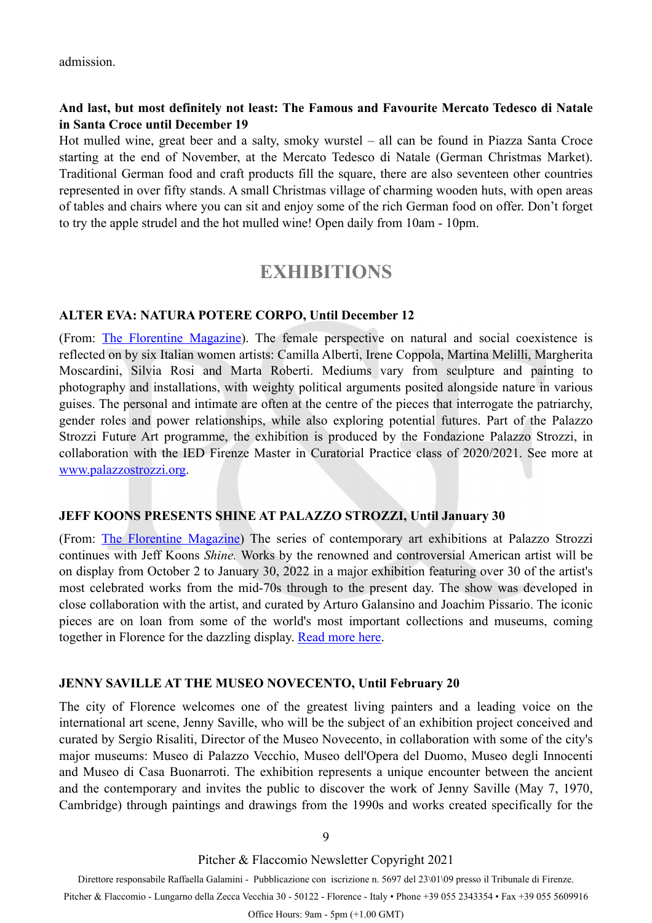admission.

#### **And last, but most definitely not least: The Famous and Favourite Mercato Tedesco di Natale in Santa Croce until December 19**

Hot mulled wine, great beer and a salty, smoky wurstel – all can be found in Piazza Santa Croce starting at the end of November, at the Mercato Tedesco di Natale (German Christmas Market). Traditional German food and craft products fill the square, there are also seventeen other countries represented in over fifty stands. A small Christmas village of charming wooden huts, with open areas of tables and chairs where you can sit and enjoy some of the rich German food on offer. Don't forget to try the apple strudel and the hot mulled wine! Open daily from 10am - 10pm.

### <span id="page-8-0"></span>**EXHIBITIONS**

#### **ALTER EVA: NATURA POTERE CORPO, Until December 12**

(From: [The Florentine Magazine](https://www.theflorentine.net/2021/10/28/best-events-in-florence-this-november-2021/?mc_cid=7bca69592f&mc_eid=45e6e6f394)). The female perspective on natural and social coexistence is reflected on by six Italian women artists: Camilla Alberti, Irene Coppola, Martina Melilli, Margherita Moscardini, Silvia Rosi and Marta Roberti. Mediums vary from sculpture and painting to photography and installations, with weighty political arguments posited alongside nature in various guises. The personal and intimate are often at the centre of the pieces that interrogate the patriarchy, gender roles and power relationships, while also exploring potential futures. Part of the Palazzo Strozzi Future Art programme, the exhibition is produced by the Fondazione Palazzo Strozzi, in collaboration with the IED Firenze Master in Curatorial Practice class of 2020/2021. See more at [www.palazzostrozzi.org.](http://www.palazzostrozzi.org/)

#### **JEFF KOONS PRESENTS SHINE AT PALAZZO STROZZI, Until January 30**

(From: [The Florentine Magazine\)](https://www.theflorentine.net/2021/09/30/jeff-koons-palazzo-strozzi-florence-october-2021-january-2022/) The series of contemporary art exhibitions at Palazzo Strozzi continues with Jeff Koons *Shine.* Works by the renowned and controversial American artist will be on display from October 2 to January 30, 2022 in a major exhibition featuring over 30 of the artist's most celebrated works from the mid-70s through to the present day. The show was developed in close collaboration with the artist, and curated by Arturo Galansino and Joachim Pissario. The iconic pieces are on loan from some of the world's most important collections and museums, coming together in Florence for the dazzling display. [Read more here.](https://www.theflorentine.net/2021/09/30/jeff-koons-palazzo-strozzi-florence-october-2021-january-2022/)

#### **JENNY SAVILLE AT THE MUSEO NOVECENTO, Until February 20**

The city of Florence welcomes one of the greatest living painters and a leading voice on the international art scene, Jenny Saville, who will be the subject of an exhibition project conceived and curated by Sergio Risaliti, Director of the Museo Novecento, in collaboration with some of the city's major museums: Museo di Palazzo Vecchio, Museo dell'Opera del Duomo, Museo degli Innocenti and Museo di Casa Buonarroti. The exhibition represents a unique encounter between the ancient and the contemporary and invites the public to discover the work of Jenny Saville (May 7, 1970, Cambridge) through paintings and drawings from the 1990s and works created specifically for the

9

Pitcher & Flaccomio Newsletter Copyright 2021

Direttore responsabile Raffaella Galamini - Pubblicazione con iscrizione n. 5697 del 23\01\09 presso il Tribunale di Firenze.

Pitcher & Flaccomio - Lungarno della Zecca Vecchia 30 - 50122 - Florence - Italy • Phone +39 055 2343354 • Fax +39 055 5609916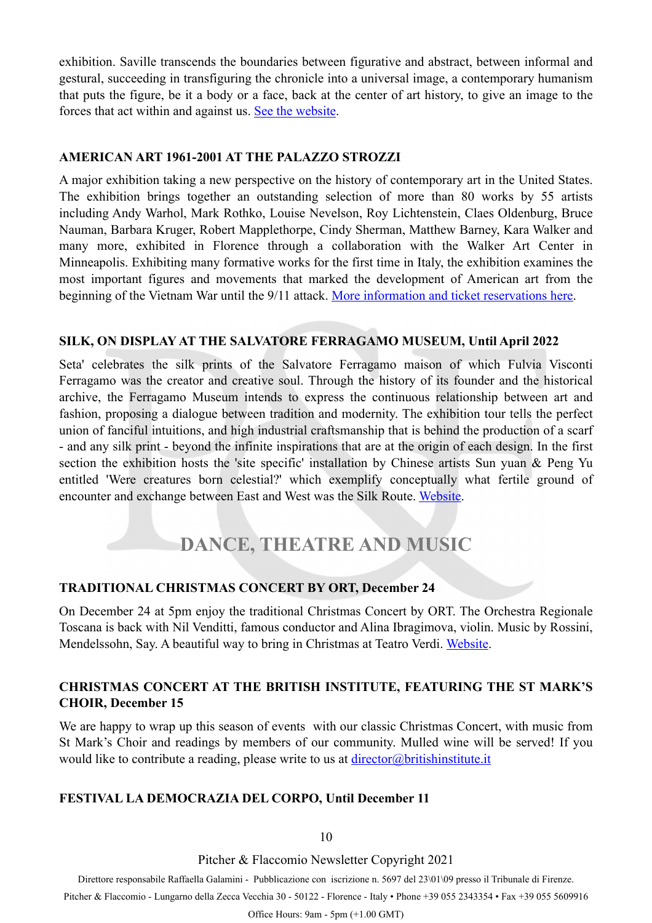exhibition. Saville transcends the boundaries between figurative and abstract, between informal and gestural, succeeding in transfiguring the chronicle into a universal image, a contemporary humanism that puts the figure, be it a body or a face, back at the center of art history, to give an image to the forces that act within and against us. [See the website.](http://www.museonovecento.it/mostre/jenny-saville/)

#### **AMERICAN ART 1961-2001 AT THE PALAZZO STROZZI**

A major exhibition taking a new perspective on the history of contemporary art in the United States. The exhibition brings together an outstanding selection of more than 80 works by 55 artists including Andy Warhol, Mark Rothko, Louise Nevelson, Roy Lichtenstein, Claes Oldenburg, Bruce Nauman, Barbara Kruger, Robert Mapplethorpe, Cindy Sherman, Matthew Barney, Kara Walker and many more, exhibited in Florence through a collaboration with the Walker Art Center in Minneapolis. Exhibiting many formative works for the first time in Italy, the exhibition examines the most important figures and movements that marked the development of American art from the beginning of the Vietnam War until the 9/11 attack. [More information and ticket reservations here.](https://www.palazzostrozzi.org/en/archivio/exhibitions/american-art-1961-2001/)

#### **SILK, ON DISPLAY AT THE SALVATORE FERRAGAMO MUSEUM, Until April 2022**

Seta' celebrates the silk prints of the Salvatore Ferragamo maison of which Fulvia Visconti Ferragamo was the creator and creative soul. Through the history of its founder and the historical archive, the Ferragamo Museum intends to express the continuous relationship between art and fashion, proposing a dialogue between tradition and modernity. The exhibition tour tells the perfect union of fanciful intuitions, and high industrial craftsmanship that is behind the production of a scarf - and any silk print - beyond the infinite inspirations that are at the origin of each design. In the first section the exhibition hosts the 'site specific' installation by Chinese artists Sun yuan & Peng Yu entitled 'Were creatures born celestial?' which exemplify conceptually what fertile ground of encounter and exchange between East and West was the Silk Route. [Website.](https://www.ferragamo.com/museo/en)

## <span id="page-9-0"></span>**DANCE, THEATRE AND MUSIC**

#### **TRADITIONAL CHRISTMAS CONCERT BY ORT, December 24**

On December 24 at 5pm enjoy the traditional Christmas Concert by ORT. The Orchestra Regionale Toscana is back with Nil Venditti, famous conductor and Alina Ibragimova, violin. Music by Rossini, Mendelssohn, Say. A beautiful way to bring in Christmas at Teatro Verdi. [Website.](https://www.teatroverdifirenze.it/en/genere/ort-natale-2021/)

#### **CHRISTMAS CONCERT AT THE BRITISH INSTITUTE, FEATURING THE ST MARK'S CHOIR, December 15**

We are happy to wrap up this season of eventswith our classic Christmas Concert, with music from St Mark's Choir and readings by members of our community. Mulled wine will be served! If you would like to contribute a reading, please write to us at  $\frac{direction( $\omega$ britishinstitute.it$ 

#### **FESTIVAL LA DEMOCRAZIA DEL CORPO, Until December 11**

10

Pitcher & Flaccomio Newsletter Copyright 2021

Direttore responsabile Raffaella Galamini - Pubblicazione con iscrizione n. 5697 del 23\01\09 presso il Tribunale di Firenze.

Pitcher & Flaccomio - Lungarno della Zecca Vecchia 30 - 50122 - Florence - Italy • Phone +39 055 2343354 • Fax +39 055 5609916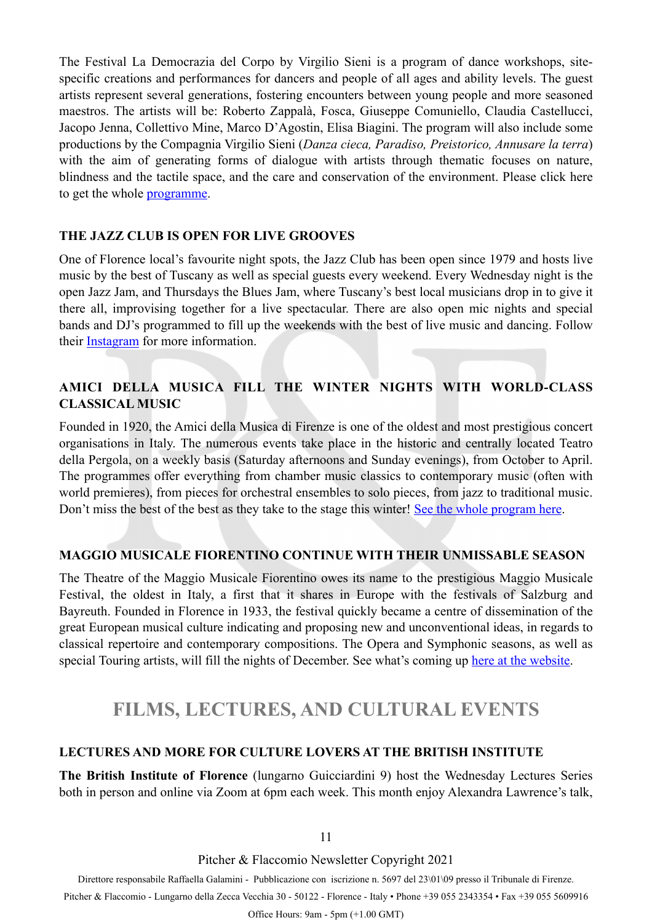The Festival La Democrazia del Corpo by Virgilio Sieni is a program of dance workshops, sitespecific creations and performances for dancers and people of all ages and ability levels. The guest artists represent several generations, fostering encounters between young people and more seasoned maestros. The artists will be: Roberto Zappalà, Fosca, Giuseppe Comuniello, Claudia Castellucci, Jacopo Jenna, Collettivo Mine, Marco D'Agostin, Elisa Biagini. The program will also include some productions by the Compagnia Virgilio Sieni (*Danza cieca, Paradiso, Preistorico, Annusare la terra*) with the aim of generating forms of dialogue with artists through thematic focuses on nature, blindness and the tactile space, and the care and conservation of the environment. Please click here to get the whole [programme](http://www.virgiliosieni.it/la-democrazia-del-corpo-2021-news/).

#### **THE JAZZ CLUB IS OPEN FOR LIVE GROOVES**

One of Florence local's favourite night spots, the Jazz Club has been open since 1979 and hosts live music by the best of Tuscany as well as special guests every weekend. Every Wednesday night is the open Jazz Jam, and Thursdays the Blues Jam, where Tuscany's best local musicians drop in to give it there all, improvising together for a live spectacular. There are also open mic nights and special bands and DJ's programmed to fill up the weekends with the best of live music and dancing. Follow their [Instagram](https://www.instagram.com/jazz_clubfirenze/) for more information.

#### **AMICI DELLA MUSICA FILL THE WINTER NIGHTS WITH WORLD-CLASS CLASSICAL MUSIC**

Founded in 1920, the Amici della Musica di Firenze is one of the oldest and most prestigious concert organisations in Italy. The numerous events take place in the historic and centrally located Teatro della Pergola, on a weekly basis (Saturday afternoons and Sunday evenings), from October to April. The programmes offer everything from chamber music classics to contemporary music (often with world premieres), from pieces for orchestral ensembles to solo pieces, from jazz to traditional music. Don't miss the best of the best as they take to the stage this winter! [See the whole program here.](http://amicimusicafirenze.it/events/)

#### **MAGGIO MUSICALE FIORENTINO CONTINUE WITH THEIR UNMISSABLE SEASON**

The Theatre of the Maggio Musicale Fiorentino owes its name to the prestigious Maggio Musicale Festival, the oldest in Italy, a first that it shares in Europe with the festivals of Salzburg and Bayreuth. Founded in Florence in 1933, the festival quickly became a centre of dissemination of the great European musical culture indicating and proposing new and unconventional ideas, in regards to classical repertoire and contemporary compositions. The Opera and Symphonic seasons, as well as special Touring artists, will fill the nights of December. See what's coming up [here at the website](https://www.maggiofiorentino.com/calendar).

### <span id="page-10-0"></span>**FILMS, LECTURES, AND CULTURAL EVENTS**

#### **LECTURES AND MORE FOR CULTURE LOVERS AT THE BRITISH INSTITUTE**

**The British Institute of Florence** (lungarno Guicciardini 9) host the Wednesday Lectures Series both in person and online via Zoom at 6pm each week. This month enjoy Alexandra Lawrence's talk,

11

Pitcher & Flaccomio Newsletter Copyright 2021

Direttore responsabile Raffaella Galamini - Pubblicazione con iscrizione n. 5697 del 23\01\09 presso il Tribunale di Firenze.

Pitcher & Flaccomio - Lungarno della Zecca Vecchia 30 - 50122 - Florence - Italy • Phone +39 055 2343354 • Fax +39 055 5609916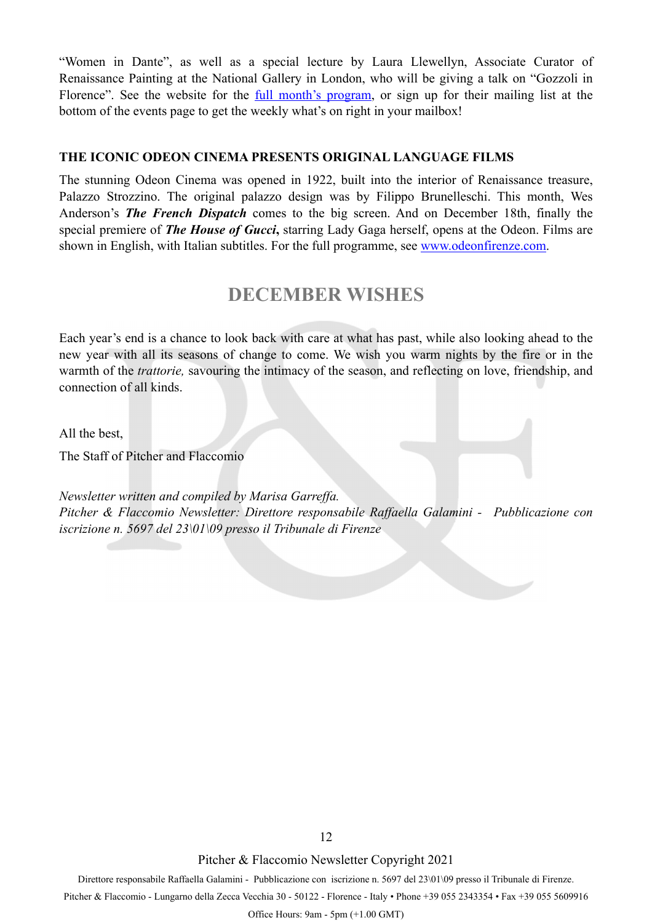"Women in Dante", as well as a special lecture by Laura Llewellyn, Associate Curator of Renaissance Painting at the National Gallery in London, who will be giving a talk on "Gozzoli in Florence". See the website for the [full month's program,](https://www.britishinstitute.it/en/news-events/events) or sign up for their mailing list at the bottom of the events page to get the weekly what's on right in your mailbox!

#### **THE ICONIC ODEON CINEMA PRESENTS ORIGINAL LANGUAGE FILMS**

The stunning Odeon Cinema was opened in 1922, built into the interior of Renaissance treasure, Palazzo Strozzino. The original palazzo design was by Filippo Brunelleschi. This month, Wes Anderson's *The French Dispatch* comes to the big screen. And on December 18th, finally the special premiere of *The House of Gucci***,** starring Lady Gaga herself, opens at the Odeon. Films are shown in English, with Italian subtitles. For the full programme, see [www.odeonfirenze.com](http://www.odeonfirenze.com/).

### **DECEMBER WISHES**

Each year's end is a chance to look back with care at what has past, while also looking ahead to the new year with all its seasons of change to come. We wish you warm nights by the fire or in the warmth of the *trattorie,* savouring the intimacy of the season, and reflecting on love, friendship, and connection of all kinds.

All the best,

The Staff of Pitcher and Flaccomio

*Newsletter written and compiled by Marisa Garreffa. Pitcher & Flaccomio Newsletter: Direttore responsabile Raffaella Galamini - Pubblicazione con iscrizione n. 5697 del 23\01\09 presso il Tribunale di Firenze*

Pitcher & Flaccomio Newsletter Copyright 2021

Direttore responsabile Raffaella Galamini - Pubblicazione con iscrizione n. 5697 del 23\01\09 presso il Tribunale di Firenze.